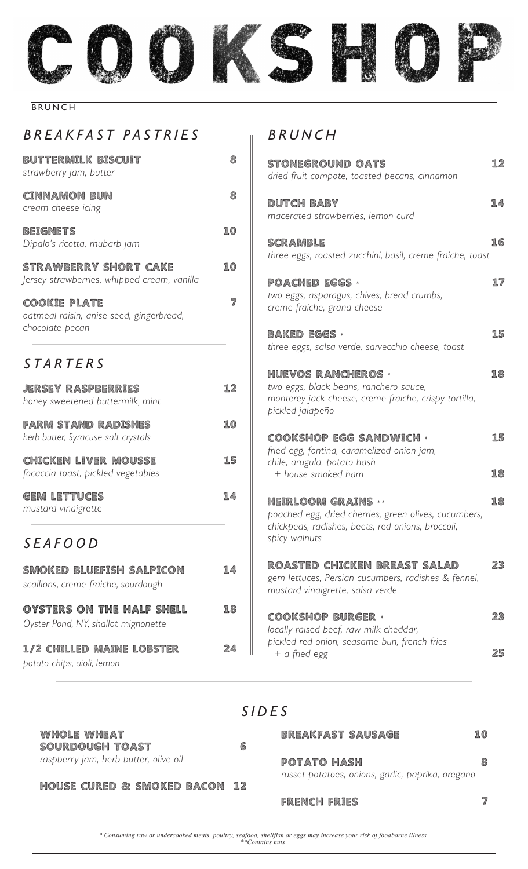

 $\overline{\phantom{a}}$ 

#### BRUNCH

#### *BREAKFAST PASTRIES*

| <b>BUTTERMILK BISCUIT</b><br>strawberry jam, butter                                | 8  |                              |
|------------------------------------------------------------------------------------|----|------------------------------|
| <b>CINNAMON BUN</b><br>cream cheese icing                                          | 8  | <b>System's</b><br>r         |
| <b>BEIGNETS</b><br>Dipalo's ricotta, rhubarb jam                                   | 10 | <b>C</b>                     |
| <b>STRAWBERRY SHORT CAKE</b><br>Jersey strawberries, whipped cream, vanilla        | 10 | t<br><b>BOOK</b>             |
| <b>COOKIE PLATE</b><br>oatmeal raisin, anise seed, gingerbread,<br>chocolate pecan | 7  | t<br>C<br><b>RASS</b>        |
| STARTERS                                                                           |    | t<br><b>CONSUM</b>           |
| <b>JERSEY RASPBERRIES</b><br>honey sweetened buttermilk, mint                      | 12 | t<br>ľ                       |
| <b>FARM STAND RADISHES</b><br>herb butter, Syracuse salt crystals                  | 10 | ţ<br>Q                       |
| <b>CHICKEN LIVER MOUSSE</b><br>focaccia toast, pickled vegetables                  | 15 | $\ddagger$<br>C              |
| <b>GEM LETTUCES</b><br>mustard vinaigrette                                         | 14 | $\ddagger$<br>$\overline{C}$ |
| SEAFOOD                                                                            |    | S                            |
| SMOKED BLUEFISH SALPICON<br>scallions, creme fraiche, sourdough                    | 14 | SHERING<br>Ę<br>r            |
| OYSTERS ON THE HALF SHELL<br>Oyster Pond, NY, shallot mignonette                   | 18 | 6<br>$\overline{I}$          |
| 1/2 CHILLED MAINE LOBSTER                                                          | 24 | ţ                            |

*potato chips, aioli, lemon*

#### *BRUNCH*

| <b>STONEGROUND OATS</b><br>dried fruit compote, toasted pecans, cinnamon                                                                                 | 12       |
|----------------------------------------------------------------------------------------------------------------------------------------------------------|----------|
| DUTCH BABY<br>macerated strawberries, lemon curd                                                                                                         | 14       |
| <b>SCRAMBLE</b><br>three eggs, roasted zucchini, basil, creme fraiche, toast                                                                             | 16       |
| <b>POACHED EGGS *</b><br>two eggs, asparagus, chives, bread crumbs,<br>creme fraiche, grana cheese                                                       | 17       |
| <b>BAKED EGGS *</b><br>three eggs, salsa verde, sarvecchio cheese, toast                                                                                 | 15       |
| <b>HUEVOS RANCHEROS *</b><br>two eggs, black beans, ranchero sauce,<br>monterey jack cheese, creme fraiche, crispy tortilla,<br>pickled jalapeño         | 18       |
| <b>COOKSHOP EGG SANDWICH *</b><br>fried egg, fontina, caramelized onion jam,<br>chile, arugula, potato hash<br>+ house smoked ham                        | 15<br>18 |
|                                                                                                                                                          |          |
| <b>HEIRLOOM GRAINS **</b><br>poached egg, dried cherries, green olives, cucumbers,<br>chickpeas, radishes, beets, red onions, broccoli,<br>spicy walnuts | 18       |
| ROASTED CHICKEN BREAST SALAD<br>gem lettuces, Persian cucumbers, radishes & fennel,<br>mustard vinaigrette, salsa verde                                  | 23       |
| <b>COOKSHOP BURGER *</b><br>locally raised beef, raw milk cheddar,<br>pickled red onion, seasame bun, french fries                                       | 23       |
| + a fried egg                                                                                                                                            | 25       |

#### *SIDES*

| WHOLE WHEAT<br>SOURDOUGH TOAST           | 6 | <b>BREAKFAST SAUSAGE</b>                          | 10 |
|------------------------------------------|---|---------------------------------------------------|----|
| raspberry jam, herb butter, olive oil    |   | POTATO HASH                                       | 8  |
| <b>HOUSE CURED &amp; SMOKED BACON 12</b> |   | russet potatoes, onions, garlic, paprika, oregano |    |
|                                          |   | <b>FRENCH FRIES</b>                               | 7  |

*\* Consuming raw or undercooked meats, poultry, seafood, shellfish or eggs may increase your risk of foodborne illness \*\*Contains nuts*